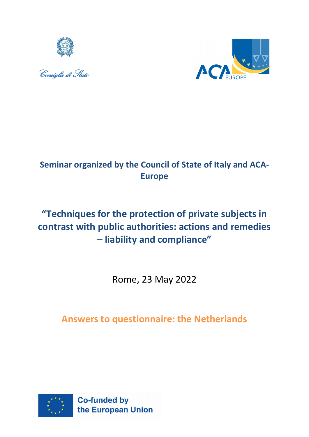





## **Seminar organized by the Council of State of Italy and ACA-Europe**

# **"Techniques for the protection of private subjects in contrast with public authorities: actions and remedies – liability and compliance"**

Rome, 23 May 2022

## **Answers to questionnaire: the Netherlands**

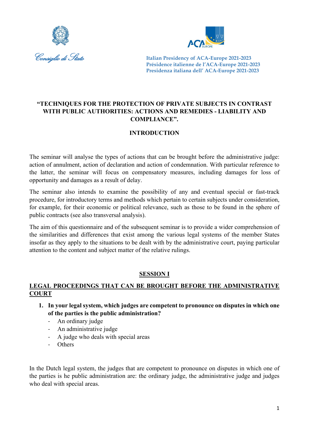



## **"TECHNIQUES FOR THE PROTECTION OF PRIVATE SUBJECTS IN CONTRAST WITH PUBLIC AUTHORITIES: ACTIONS AND REMEDIES - LIABILITY AND COMPLIANCE".**

## **INTRODUCTION**

The seminar will analyse the types of actions that can be brought before the administrative judge: action of annulment, action of declaration and action of condemnation. With particular reference to the latter, the seminar will focus on compensatory measures, including damages for loss of opportunity and damages as a result of delay.

The seminar also intends to examine the possibility of any and eventual special or fast-track procedure, for introductory terms and methods which pertain to certain subjects under consideration, for example, for their economic or political relevance, such as those to be found in the sphere of public contracts (see also transversal analysis).

The aim of this questionnaire and of the subsequent seminar is to provide a wider comprehension of the similarities and differences that exist among the various legal systems of the member States insofar as they apply to the situations to be dealt with by the administrative court, paying particular attention to the content and subject matter of the relative rulings.

## **SESSION I**

## **LEGAL PROCEEDINGS THAT CAN BE BROUGHT BEFORE THE ADMINISTRATIVE COURT**

- **1. In your legal system, which judges are competent to pronounce on disputes in which one of the parties is the public administration?**
	- An ordinary judge
	- An administrative judge
	- A judge who deals with special areas
	- Others

In the Dutch legal system, the judges that are competent to pronounce on disputes in which one of the parties is he public administration are: the ordinary judge, the administrative judge and judges who deal with special areas.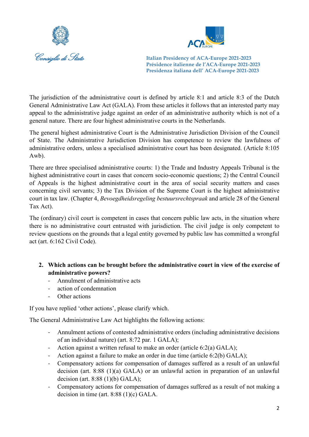



The jurisdiction of the administrative court is defined by article 8:1 and article 8:3 of the Dutch General Administrative Law Act (GALA). From these articles it follows that an interested party may appeal to the administrative judge against an order of an administrative authority which is not of a general nature. There are four highest administrative courts in the Netherlands.

The general highest administrative Court is the Administrative Jurisdiction Division of the Council of State. The Administrative Jurisdiction Division has competence to review the lawfulness of administrative orders, unless a specialised administrative court has been designated. (Article 8:105 Awb).

There are three specialised administrative courts: 1) the Trade and Industry Appeals Tribunal is the highest administrative court in cases that concern socio-economic questions; 2) the Central Council of Appeals is the highest administrative court in the area of social security matters and cases concerning civil servants; 3) the Tax Division of the Supreme Court is the highest administrative court in tax law. (Chapter 4, *Bevoegdheidsregeling bestuursrechtspraak* and article 28 of the General Tax Act).

The (ordinary) civil court is competent in cases that concern public law acts, in the situation where there is no administrative court entrusted with jurisdiction. The civil judge is only competent to review questions on the grounds that a legal entity governed by public law has committed a wrongful act (art. 6:162 Civil Code).

#### **2. Which actions can be brought before the administrative court in view of the exercise of administrative powers?**

- Annulment of administrative acts
- action of condemnation
- Other actions

If you have replied 'other actions', please clarify which.

The General Administrative Law Act highlights the following actions:

- Annulment actions of contested administrative orders (including administrative decisions of an individual nature) (art. 8:72 par. 1 GALA);
- Action against a written refusal to make an order (article 6:2(a) GALA);
- Action against a failure to make an order in due time (article 6:2(b) GALA);
- Compensatory actions for compensation of damages suffered as a result of an unlawful decision (art. 8:88 (1)(a) GALA) or an unlawful action in preparation of an unlawful decision (art. 8:88 (1)(b) GALA);
- Compensatory actions for compensation of damages suffered as a result of not making a decision in time (art. 8:88 (1)(c) GALA.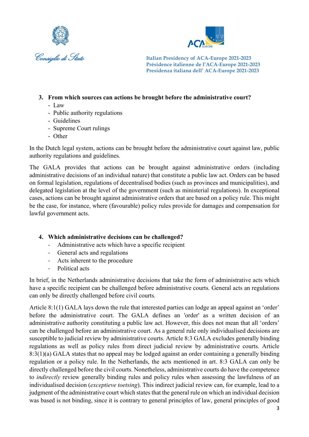



- **3. From which sources can actions be brought before the administrative court?**
	- Law
	- Public authority regulations
	- Guidelines
	- Supreme Court rulings
	- Other

In the Dutch legal system, actions can be brought before the administrative court against law, public authority regulations and guidelines.

The GALA provides that actions can be brought against administrative orders (including administrative decisions of an individual nature) that constitute a public law act. Orders can be based on formal legislation, regulations of decentralised bodies (such as provinces and municipalities), and delegated legislation at the level of the government (such as ministerial regulations). In exceptional cases, actions can be brought against administrative orders that are based on a policy rule. This might be the case, for instance, where (favourable) policy rules provide for damages and compensation for lawful government acts.

## **4. Which administrative decisions can be challenged?**

- Administrative acts which have a specific recipient
- General acts and regulations
- Acts inherent to the procedure
- Political acts

In brief, in the Netherlands administrative decisions that take the form of administrative acts which have a specific recipient can be challenged before administrative courts. General acts an regulations can only be directly challenged before civil courts.

Article 8:1(1) GALA lays down the rule that interested parties can lodge an appeal against an 'order' before the administrative court. The GALA defines an 'order' as a written decision of an administrative authority constituting a public law act. However, this does not mean that all 'orders' can be challenged before an administrative court. As a general rule only individualised decisions are susceptible to judicial review by administrative courts. Article 8:3 GALA excludes generally binding regulations as well as policy rules from direct judicial review by administrative courts. Article 8:3(1)(a) GALA states that no appeal may be lodged against an order containing a generally binding regulation or a policy rule. In the Netherlands, the acts mentioned in art. 8:3 GALA can only be directly challenged before the civil courts. Nonetheless, administrative courts do have the competence to *indirectly* review generally binding rules and policy rules when assessing the lawfulness of an individualised decision (*exceptieve toetsing*). This indirect judicial review can, for example, lead to a judgment of the administrative court which states that the general rule on which an individual decision was based is not binding, since it is contrary to general principles of law, general principles of good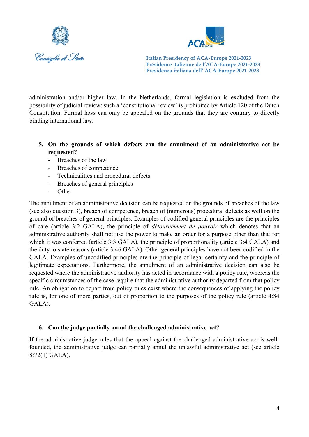



administration and/or higher law. In the Netherlands, formal legislation is excluded from the possibility of judicial review: such a 'constitutional review' is prohibited by Article 120 of the Dutch Constitution. Formal laws can only be appealed on the grounds that they are contrary to directly binding international law.

- **5. On the grounds of which defects can the annulment of an administrative act be requested?**
	- Breaches of the law
	- Breaches of competence
	- Technicalities and procedural defects
	- Breaches of general principles
	- **Other**

The annulment of an administrative decision can be requested on the grounds of breaches of the law (see also question 3), breach of competence, breach of (numerous) procedural defects as well on the ground of breaches of general principles. Examples of codified general principles are the principles of care (article 3:2 GALA), the principle of *détournement de pouvoir* which denotes that an administrative authority shall not use the power to make an order for a purpose other than that for which it was conferred (article 3:3 GALA), the principle of proportionality (article 3:4 GALA) and the duty to state reasons (article 3:46 GALA). Other general principles have not been codified in the GALA. Examples of uncodified principles are the principle of legal certainty and the principle of legitimate expectations. Furthermore, the annulment of an administrative decision can also be requested where the administrative authority has acted in accordance with a policy rule, whereas the specific circumstances of the case require that the administrative authority departed from that policy rule. An obligation to depart from policy rules exist where the consequences of applying the policy rule is, for one of more parties, out of proportion to the purposes of the policy rule (article 4:84 GALA).

#### **6. Can the judge partially annul the challenged administrative act?**

If the administrative judge rules that the appeal against the challenged administrative act is wellfounded, the administrative judge can partially annul the unlawful administrative act (see article 8:72(1) GALA).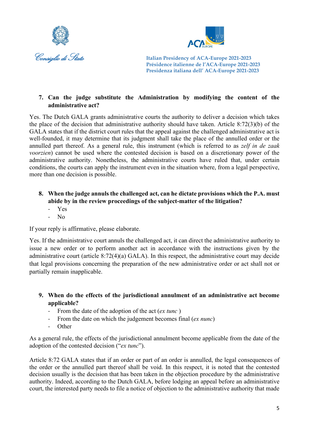



## **7. Can the judge substitute the Administration by modifying the content of the administrative act?**

Yes. The Dutch GALA grants administrative courts the authority to deliver a decision which takes the place of the decision that administrative authority should have taken. Article 8:72(3)(b) of the GALA states that if the district court rules that the appeal against the challenged administrative act is well-founded, it may determine that its judgment shall take the place of the annulled order or the annulled part thereof. As a general rule, this instrument (which is referred to as *zelf in de zaak voorzien*) cannot be used where the contested decision is based on a discretionary power of the administrative authority. Nonetheless, the administrative courts have ruled that, under certain conditions, the courts can apply the instrument even in the situation where, from a legal perspective, more than one decision is possible.

## **8. When the judge annuls the challenged act, can he dictate provisions which the P.A. must abide by in the review proceedings of the subject-matter of the litigation?**

- Yes
- No

If your reply is affirmative, please elaborate.

Yes. If the administrative court annuls the challenged act, it can direct the administrative authority to issue a new order or to perform another act in accordance with the instructions given by the administrative court (article 8:72(4)(a) GALA). In this respect, the administrative court may decide that legal provisions concerning the preparation of the new administrative order or act shall not or partially remain inapplicable.

- **9. When do the effects of the jurisdictional annulment of an administrative act become applicable?**
	- From the date of the adoption of the act (*ex tunc* )
	- From the date on which the judgement becomes final (*ex nunc*)
	- **Other**

As a general rule, the effects of the jurisdictional annulment become applicable from the date of the adoption of the contested decision ("*ex tunc*").

Article 8:72 GALA states that if an order or part of an order is annulled, the legal consequences of the order or the annulled part thereof shall be void. In this respect, it is noted that the contested decision usually is the decision that has been taken in the objection procedure by the administrative authority. Indeed, according to the Dutch GALA, before lodging an appeal before an administrative court, the interested party needs to file a notice of objection to the administrative authority that made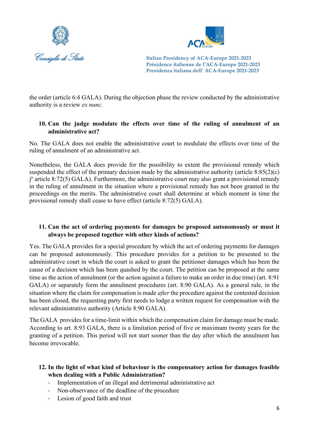



the order (article 6:4 GALA). During the objection phase the review conducted by the administrative authority is a review *ex nunc.*

#### **10. Can the judge modulate the effects over time of the ruling of annulment of an administrative act?**

No. The GALA does not enable the administrative court to modulate the effects over time of the ruling of annulment of an administrative act.

Nonetheless, the GALA does provide for the possibility to extent the provisional remedy which suspended the effect of the primary decision made by the administrative authority (article 8:85(2)(c) jº article 8:72(5) GALA). Furthermore, the administrative court may also grant a provisional remedy in the ruling of annulment in the situation where a provisional remedy has not been granted in the proceedings on the merits. The administrative court shall determine at which moment in time the provisional remedy shall cease to have effect (article 8:72(5) GALA).

#### **11. Can the act of ordering payments for damages be proposed autonomously or must it always be proposed together with other kinds of actions?**

Yes. The GALA provides for a special procedure by which the act of ordering payments for damages can be proposed autonomously. This procedure provides for a petition to be presented to the administrative court in which the court is asked to grant the petitioner damages which has been the cause of a decision which has been quashed by the court. The petition can be proposed at the same time as the action of annulment (or the action against a failure to make an order in due time) (art. 8:91 GALA) or separately form the annulment procedures (art. 8:90 GALA). As a general rule, in the situation where the claim for compensation is made *after* the procedure against the contested decision has been closed, the requesting party first needs to lodge a written request for compensation with the relevant administrative authority (Article 8:90 GALA).

The GALA provides for a time-limit within which the compensation claim for damage must be made. According to art. 8:93 GALA, there is a limitation period of five or maximum twenty years for the granting of a petition. This period will not start sooner than the day after which the annulment has become irrevocable.

## **12. In the light of what kind of behaviour is the compensatory action for damages feasible when dealing with a Public Administration?**

- Implementation of an illegal and detrimental administrative act
- Non-observance of the deadline of the procedure
- Lesion of good faith and trust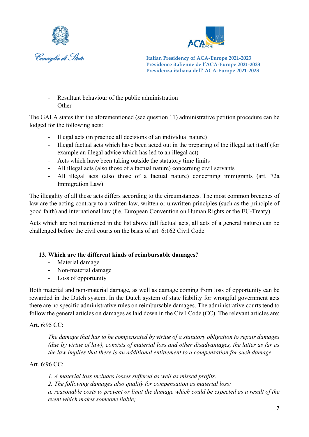



- Resultant behaviour of the public administration
- **Other**

The GALA states that the aforementioned (see question 11) administrative petition procedure can be lodged for the following acts:

- Illegal acts (in practice all decisions of an individual nature)
- Illegal factual acts which have been acted out in the preparing of the illegal act itself (for example an illegal advice which has led to an illegal act)
- Acts which have been taking outside the statutory time limits
- All illegal acts (also those of a factual nature) concerning civil servants
- All illegal acts (also those of a factual nature) concerning immigrants (art. 72a Immigration Law)

The illegality of all these acts differs according to the circumstances. The most common breaches of law are the acting contrary to a written law, written or unwritten principles (such as the principle of good faith) and international law (f.e. European Convention on Human Rights or the EU-Treaty).

Acts which are not mentioned in the list above (all factual acts, all acts of a general nature) can be challenged before the civil courts on the basis of art. 6:162 Civil Code.

#### **13. Which are the different kinds of reimbursable damages?**

- Material damage
- Non-material damage
- Loss of opportunity

Both material and non-material damage, as well as damage coming from loss of opportunity can be rewarded in the Dutch system. In the Dutch system of state liability for wrongful government acts there are no specific administrative rules on reimbursable damages. The administrative courts tend to follow the general articles on damages as laid down in the Civil Code (CC). The relevant articles are:

#### Art. 6:95 CC:

*The damage that has to be compensated by virtue of a statutory obligation to repair damages (due by virtue of law), consists of material loss and other disadvantages, the latter as far as the law implies that there is an additional entitlement to a compensation for such damage.*

#### Art. 6:96 CC:

*1. A material loss includes losses suffered as well as missed profits.*

*2. The following damages also qualify for compensation as material loss:*

*a. reasonable costs to prevent or limit the damage which could be expected as a result of the event which makes someone liable;*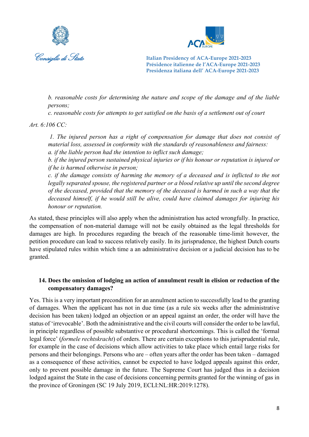



*b. reasonable costs for determining the nature and scope of the damage and of the liable persons;*

*c. reasonable costs for attempts to get satisfied on the basis of a settlement out of court*

*Art. 6:106 CC:*

*1. The injured person has a right of compensation for damage that does not consist of material loss, assessed in conformity with the standards of reasonableness and fairness: a. if the liable person had the intention to inflict such damage;*

*b. if the injured person sustained physical injuries or if his honour or reputation is injured or if he is harmed otherwise in person;*

*c. if the damage consists of harming the memory of a deceased and is inflicted to the not legally separated spouse, the registered partner or a blood relative up until the second degree of the deceased, provided that the memory of the deceased is harmed in such a way that the deceased himself, if he would still be alive, could have claimed damages for injuring his honour or reputation.*

As stated, these principles will also apply when the administration has acted wrongfully. In practice, the compensation of non-material damage will not be easily obtained as the legal thresholds for damages are high. In procedures regarding the breach of the reasonable time-limit however, the petition procedure can lead to success relatively easily. In its jurisprudence, the highest Dutch courts have stipulated rules within which time a an administrative decision or a judicial decision has to be granted.

#### **14. Does the omission of lodging an action of annulment result in elision or reduction of the compensatory damages?**

Yes. This is a very important precondition for an annulment action to successfully lead to the granting of damages. When the applicant has not in due time (as a rule six weeks after the administrative decision has been taken) lodged an objection or an appeal against an order, the order will have the status of 'irrevocable'. Both the administrative and the civil courts will consider the order to be lawful, in principle regardless of possible substantive or procedural shortcomings. This is called the 'formal legal force' (*formele rechtskracht*) of orders. There are certain exceptions to this jurisprudential rule, for example in the case of decisions which allow activities to take place which entail large risks for persons and their belongings. Persons who are – often years after the order has been taken – damaged as a consequence of these activities, cannot be expected to have lodged appeals against this order, only to prevent possible damage in the future. The Supreme Court has judged thus in a decision lodged against the State in the case of decisions concerning permits granted for the winning of gas in the province of Groningen (SC 19 July 2019, ECLI:NL:HR:2019:1278).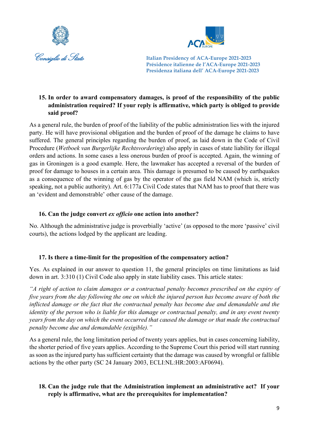



## **15. In order to award compensatory damages, is proof of the responsibility of the public administration required? If your reply is affirmative, which party is obliged to provide said proof?**

As a general rule, the burden of proof of the liability of the public administration lies with the injured party. He will have provisional obligation and the burden of proof of the damage he claims to have suffered. The general principles regarding the burden of proof, as laid down in the Code of Civil Procedure (*Wetboek van Burgerlijke Rechtsvordering*) also apply in cases of state liability for illegal orders and actions. In some cases a less onerous burden of proof is accepted. Again, the winning of gas in Groningen is a good example. Here, the lawmaker has accepted a reversal of the burden of proof for damage to houses in a certain area. This damage is presumed to be caused by earthquakes as a consequence of the winning of gas by the operator of the gas field NAM (which is, strictly speaking, not a public authority). Art. 6:177a Civil Code states that NAM has to proof that there was an 'evident and demonstrable' other cause of the damage.

## **16. Can the judge convert** *ex officio* **one action into another?**

No. Although the administrative judge is proverbially 'active' (as opposed to the more 'passive' civil courts), the actions lodged by the applicant are leading.

## **17. Is there a time-limit for the proposition of the compensatory action?**

Yes. As explained in our answer to question 11, the general principles on time limitations as laid down in art. 3:310 (1) Civil Code also apply in state liability cases. This article states:

*"A right of action to claim damages or a contractual penalty becomes prescribed on the expiry of five years from the day following the one on which the injured person has become aware of both the inflicted damage or the fact that the contractual penalty has become due and demandable and the identity of the person who is liable for this damage or contractual penalty, and in any event twenty years from the day on which the event occurred that caused the damage or that made the contractual penalty become due and demandable (exigible)."*

As a general rule, the long limitation period of twenty years applies, but in cases concerning liability, the shorter period of five years applies. According to the Supreme Court this period will start running as soon as the injured party has sufficient certainty that the damage was caused by wrongful or fallible actions by the other party (SC 24 January 2003, ECLI:NL:HR:2003:AF0694).

## **18. Can the judge rule that the Administration implement an administrative act? If your reply is affirmative, what are the prerequisites for implementation?**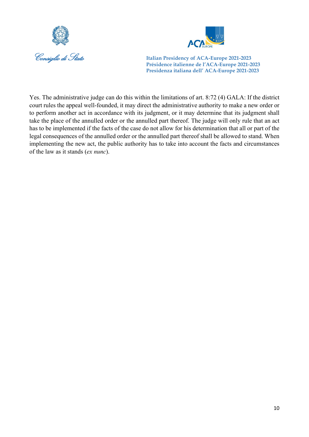



Yes. The administrative judge can do this within the limitations of art. 8:72 (4) GALA: If the district court rules the appeal well-founded, it may direct the administrative authority to make a new order or to perform another act in accordance with its judgment, or it may determine that its judgment shall take the place of the annulled order or the annulled part thereof. The judge will only rule that an act has to be implemented if the facts of the case do not allow for his determination that all or part of the legal consequences of the annulled order or the annulled part thereof shall be allowed to stand. When implementing the new act, the public authority has to take into account the facts and circumstances of the law as it stands (*ex nunc*).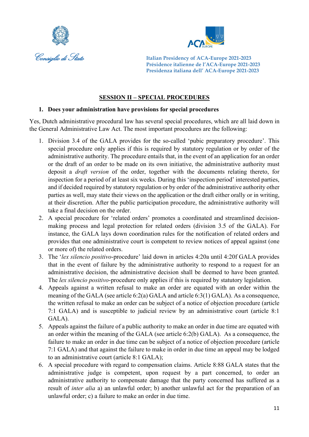



## **SESSION II – SPECIAL PROCEDURES**

#### **1. Does your administration have provisions for special procedures**

Yes, Dutch administrative procedural law has several special procedures, which are all laid down in the General Administrative Law Act. The most important procedures are the following:

- 1. Division 3.4 of the GALA provides for the so-called 'pubic preparatory procedure'. This special procedure only applies if this is required by statutory regulation or by order of the administrative authority. The procedure entails that, in the event of an application for an order or the draft of an order to be made on its own initiative, the administrative authority must deposit a *draft version* of the order, together with the documents relating thereto, for inspection for a period of at least six weeks. During this 'inspection period' interested parties, and if decided required by statutory regulation or by order of the administrative authority other parties as well, may state their views on the application or the draft either orally or in writing, at their discretion. After the public participation procedure, the administrative authority will take a final decision on the order.
- 2. A special procedure for 'related orders' promotes a coordinated and streamlined decisionmaking process and legal protection for related orders (division 3.5 of the GALA). For instance, the GALA lays down coordination rules for the notification of related orders and provides that one administrative court is competent to review notices of appeal against (one or more of) the related orders.
- 3. The '*lex silencio positivo*-procedure' laid down in articles 4:20a until 4:20f GALA provides that in the event of failure by the administrative authority to respond to a request for an administrative decision, the administrative decision shall be deemed to have been granted. The *lex silencio positivo*-procedure only applies if this is required by statutory legislation.
- 4. Appeals against a written refusal to make an order are equated with an order within the meaning of the GALA (see article 6:2(a) GALA and article 6:3(1) GALA). As a consequence, the written refusal to make an order can be subject of a notice of objection procedure (article 7:1 GALA) and is susceptible to judicial review by an administrative court (article 8:1 GALA).
- 5. Appeals against the failure of a public authority to make an order in due time are equated with an order within the meaning of the GALA (see article 6:2(b) GALA). As a consequence, the failure to make an order in due time can be subject of a notice of objection procedure (article 7:1 GALA) and that against the failure to make in order in due time an appeal may be lodged to an administrative court (article 8:1 GALA);
- 6. A special procedure with regard to compensation claims. Article 8:88 GALA states that the administrative judge is competent, upon request by a part concerned, to order an administrative authority to compensate damage that the party concerned has suffered as a result of *inter alia* a) an unlawful order; b) another unlawful act for the preparation of an unlawful order; c) a failure to make an order in due time.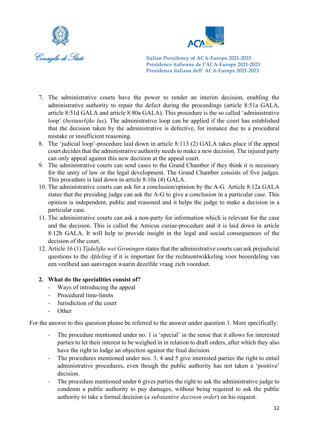



- 7. The administrative courts have the power to render an interim decision, enabling the administrative authority to repair the defect during the proceedings (article 8:51a GALA, article 8:51d GALA and article 8:80a GALA). This procedure is the so called 'administrative loop' (*bestuurlijke lus*). The administrative loop can be applied if the court has established that the decision taken by the administrative is defective, for instance due to a procedural mistake or insufficient reasoning.
- 8. The 'judicial loop'-procedure laid down in article 8:113 (2) GALA takes place if the appeal court decides that the administrative authority needs to make a new decision. The injured party can only appeal against this new decision at the appeal court.
- 9. The administrative courts can send cases to the Grand Chamber if they think it is necessary for the unity of law or the legal development. The Grand Chamber consists of five judges. This procedure is laid down in article 8:10a (4) GALA.
- 10. The administrative courts can ask for a conclusion/opinion by the A-G. Article 8:12a GALA states that the presiding judge can ask the A-G to give a conclusion in a particular case. This opinion is independent, public and reasoned and it helps the judge to make a decision in a particular case.
- 11. The administrative courts can ask a non-party for information which is relevant for the case and the decision. This is called the Amicus curiae-procedure and it is laid down in article 8:12b GALA. It will help to provide insight in the legal and social consequences of the decision of the court.
- 12. Article 16 (1) *Tijdelijke wet Groningen* states that the administrative courts can ask prejudicial questions to the *Afdeling* if it is important for the rechtsontwikkeling voor beoordeling van een veelheid aan aanvragen waarin dezelfde vraag zich voordoet.

## **2. What do the specialities consist of?**

- Ways of introducing the appeal
- Procedural time-limits
- Jurisdiction of the court
- $O$ ther

For the answer to this question please be referred to the answer under question 1. More specifically:

- The procedure mentioned under no. 1 is 'special' in the sense that it allows for interested parties to let their interest to be weighed in in relation to draft orders, after which they also have the right to lodge an objection against the final decision.
- The procedures mentioned under nos. 3, 4 and 5 give interested parties the right to entail administrative procedures, even though the public authority has not taken a 'positive' decision.
- The procedure mentioned under 6 gives parties the right to ask the administrative judge to condemn a public authority to pay damages, without being required to ask the public authority to take a formal decision (*a substantive decision order*) on his request.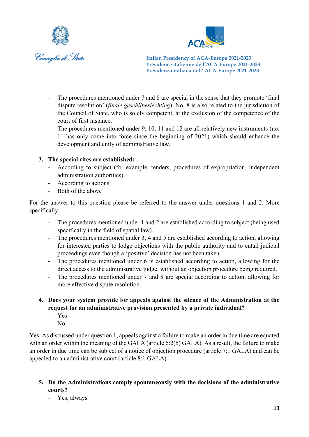



- The procedures mentioned under 7 and 8 are special in the sense that they promote 'final dispute resolution' (*finale geschilbeslechting*). No. 8 is also related to the jurisdiction of the Council of State, who is solely competent, at the exclusion of the competence of the court of first instance.
- The procedures mentioned under 9, 10, 11 and 12 are all relatively new instruments (no. 11 has only come into force since the beginning of 2021) which should enhance the development and unity of administrative law.

## **3. The special rites are established:**

- According to subject (for example, tenders, procedures of expropriation, independent administration authorities)
- According to actions
- Both of the above

For the answer to this question please be referred to the answer under questions 1 and 2. More specifically:

- The procedures mentioned under 1 and 2 are established according to subject (being used specifically in the field of spatial law).
- The procedures mentioned under 3, 4 and 5 are established according to action, allowing for interested parties to lodge objections with the public authority and to entail judicial proceedings even though a 'positive' decision has not been taken.
- The procedures mentioned under 6 is established according to action, allowing for the direct access to the administrative judge, without an objection procedure being required.
- The procedures mentioned under 7 and 8 are special according to action, allowing for more effective dispute resolution.
- **4. Does your system provide for appeals against the silence of the Administration at the request for an administrative provision presented by a private individual?**
	- Yes
	- No

Yes. As discussed under question 1, appeals against a failure to make an order in due time are equated with an order within the meaning of the GALA (article 6:2(b) GALA). As a result, the failure to make an order in due time can be subject of a notice of objection procedure (article 7:1 GALA) and can be appealed to an administrative court (article 8:1 GALA).

## **5. Do the Administrations comply spontaneously with the decisions of the administrative courts?**

- Yes, always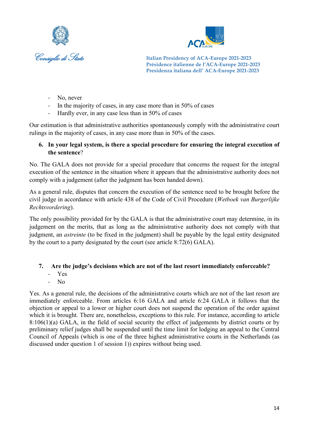



- No, never
- In the majority of cases, in any case more than in 50% of cases
- Hardly ever, in any case less than in 50% of cases

Our estimation is that administrative authorities spontaneously comply with the administrative court rulings in the majority of cases, in any case more than in 50% of the cases.

#### **6. In your legal system, is there a special procedure for ensuring the integral execution of the sentence**?

No. The GALA does not provide for a special procedure that concerns the request for the integral execution of the sentence in the situation where it appears that the administrative authority does not comply with a judgement (after the judgment has been handed down).

As a general rule, disputes that concern the execution of the sentence need to be brought before the civil judge in accordance with article 438 of the Code of Civil Procedure (*Wetboek van Burgerlijke Rechtsvordering*).

The only possibility provided for by the GALA is that the administrative court may determine, in its judgement on the merits, that as long as the administrative authority does not comply with that judgment, an *astreinte* (to be fixed in the judgment) shall be payable by the legal entity designated by the court to a party designated by the court (see article 8:72(6) GALA).

#### **7. Are the judge's decisions which are not of the last resort immediately enforceable?**

- Yes
- No

Yes. As a general rule, the decisions of the administrative courts which are not of the last resort are immediately enforceable. From articles 6:16 GALA and article 6:24 GALA it follows that the objection or appeal to a lower or higher court does not suspend the operation of the order against which it is brought. There are, nonetheless, exceptions to this rule. For instance, according to article 8:106(1)(a) GALA, in the field of social security the effect of judgements by district courts or by preliminary relief judges shall be suspended until the time limit for lodging an appeal to the Central Council of Appeals (which is one of the three highest administrative courts in the Netherlands (as discussed under question 1 of session 1)) expires without being used.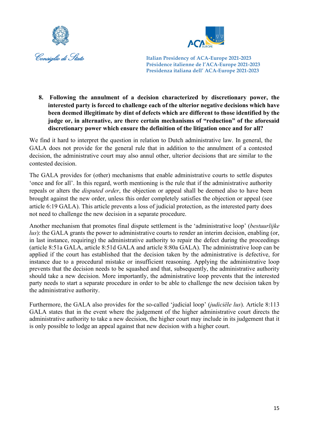



**8. Following the annulment of a decision characterized by discretionary power, the interested party is forced to challenge each of the ulterior negative decisions which have been deemed illegitimate by dint of defects which are different to those identified by the judge or, in alternative, are there certain mechanisms of "reduction" of the aforesaid discretionary power which ensure the definition of the litigation once and for all?**

We find it hard to interpret the question in relation to Dutch administrative law. In general, the GALA does not provide for the general rule that in addition to the annulment of a contested decision, the administrative court may also annul other, ulterior decisions that are similar to the contested decision.

The GALA provides for (other) mechanisms that enable administrative courts to settle disputes 'once and for all'. In this regard, worth mentioning is the rule that if the administrative authority repeals or alters the *disputed order*, the objection or appeal shall be deemed also to have been brought against the new order, unless this order completely satisfies the objection or appeal (see article 6:19 GALA). This article prevents a loss of judicial protection, as the interested party does not need to challenge the new decision in a separate procedure.

Another mechanism that promotes final dispute settlement is the 'administrative loop' (*bestuurlijke lus*): the GALA grants the power to administrative courts to render an interim decision, enabling (or, in last instance, requiring) the administrative authority to repair the defect during the proceedings (article 8:51a GALA, article 8:51d GALA and article 8:80a GALA). The administrative loop can be applied if the court has established that the decision taken by the administrative is defective, for instance due to a procedural mistake or insufficient reasoning. Applying the administrative loop prevents that the decision needs to be squashed and that, subsequently, the administrative authority should take a new decision. More importantly, the administrative loop prevents that the interested party needs to start a separate procedure in order to be able to challenge the new decision taken by the administrative authority.

Furthermore, the GALA also provides for the so-called 'judicial loop' (*judiciële lus*). Article 8:113 GALA states that in the event where the judgement of the higher administrative court directs the administrative authority to take a new decision, the higher court may include in its judgement that it is only possible to lodge an appeal against that new decision with a higher court.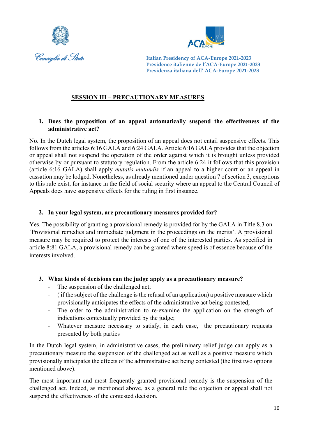



## **SESSION III – PRECAUTIONARY MEASURES**

#### **1. Does the proposition of an appeal automatically suspend the effectiveness of the administrative act?**

No. In the Dutch legal system, the proposition of an appeal does not entail suspensive effects. This follows from the articles 6:16 GALA and 6:24 GALA. Article 6:16 GALA provides that the objection or appeal shall not suspend the operation of the order against which it is brought unless provided otherwise by or pursuant to statutory regulation. From the article 6:24 it follows that this provision (article 6:16 GALA) shall apply *mutatis mutandis* if an appeal to a higher court or an appeal in cassation may be lodged. Nonetheless, as already mentioned under question 7 of section 3, exceptions to this rule exist, for instance in the field of social security where an appeal to the Central Council of Appeals does have suspensive effects for the ruling in first instance.

#### **2. In your legal system, are precautionary measures provided for?**

Yes. The possibility of granting a provisional remedy is provided for by the GALA in Title 8.3 on 'Provisional remedies and immediate judgment in the proceedings on the merits'. A provisional measure may be required to protect the interests of one of the interested parties. As specified in article 8:81 GALA, a provisional remedy can be granted where speed is of essence because of the interests involved.

#### **3. What kinds of decisions can the judge apply as a precautionary measure?**

- The suspension of the challenged act;
- ( if the subject of the challenge is the refusal of an application) a positive measure which provisionally anticipates the effects of the administrative act being contested;
- The order to the administration to re-examine the application on the strength of indications contextually provided by the judge;
- Whatever measure necessary to satisfy, in each case, the precautionary requests presented by both parties

In the Dutch legal system, in administrative cases, the preliminary relief judge can apply as a precautionary measure the suspension of the challenged act as well as a positive measure which provisionally anticipates the effects of the administrative act being contested (the first two options mentioned above).

The most important and most frequently granted provisional remedy is the suspension of the challenged act. Indeed, as mentioned above, as a general rule the objection or appeal shall not suspend the effectiveness of the contested decision.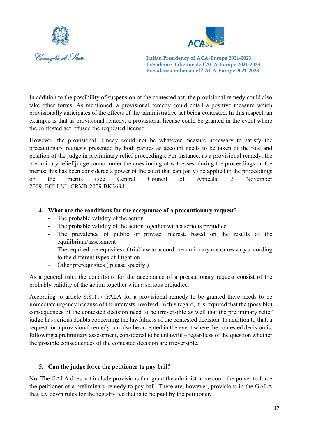



In addition to the possibility of suspension of the contested act, the provisional remedy could also take other forms. As mentioned, a provisional remedy could entail a positive measure which provisionally anticipates of the effects of the administrative act being contested. In this respect, an example is that as provisional remedy, a provisional license could be granted in the event where the contested act refused the requested license.

However, the provisional remedy could not be whatever measure necessary to satisfy the precautionary requests presented by both parties as account needs to be taken of the role and position of the judge in preliminary relief proceedings. For instance, as a provisional remedy, the preliminary relief judge cannot order the questioning of witnesses during the proceedings on the merits; this has been considered a power of the court that can (only) be applied in the proceedings on the merits (see Central Council of Appeals, 3 November 2009, ECLI:NL:CRVB:2009:BK3694).

#### **4. What are the conditions for the acceptance of a precautionary request?**

- The probable validity of the action
- The probable validity of the action together with a serious prejudice
- The prevalence of public or private interest, based on the results of the equilibrium/assessment
- The required prerequisites of trial law to accord precautionary measures vary according to the different types of litigation
- Other prerequisites ( please specify )

As a general rule, the conditions for the acceptance of a precautionary request consist of the probably validity of the action together with a serious prejudice.

According to article 8:81(1) GALA for a provisional remedy to be granted there needs to be immediate urgency because of the interests involved. In this regard, it is required that the (possible) consequences of the contested decision need to be irreversible as well that the preliminary relief judge has serious doubts concerning the lawfulness of the contested decision. In addition to that, a request for a provisional remedy can also be accepted in the event where the contested decision is, following a preliminary assessment, considered to be unlawful – regardless of the question whether the possible consequences of the contested decision are irreversible.

## **5. Can the judge force the petitioner to pay bail?**

No. The GALA does not include provisions that grant the administrative court the power to force the petitioner of a preliminary remedy to pay bail. There are, however, provisions in the GALA that lay down rules for the registry fee that is to be paid by the petitioner.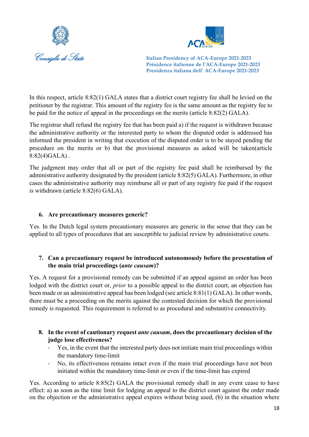



In this respect, article 8:82(1) GALA states that a district court registry fee shall be levied on the petitioner by the registrar. This amount of the registry fee is the same amount as the registry fee to be paid for the notice of appeal in the proceedings on the merits (article 8:82(2) GALA).

The registrar shall refund the registry fee that has been paid a) if the request is withdrawn because the administrative authority or the interested party to whom the disputed order is addressed has informed the president in writing that execution of the disputed order is to be stayed pending the procedure on the merits or b) that the provisional measures as asked will be taken(article  $8:82(4)GALA$ .

The judgment may order that all or part of the registry fee paid shall be reimbursed by the administrative authority designated by the president (article 8:82(5) GALA). Furthermore, in other cases the administrative authority may reimburse all or part of any registry fee paid if the request is withdrawn (article 8:82(6) GALA).

#### **6. Are precautionary measures generic?**

Yes. In the Dutch legal system precautionary measures are generic in the sense that they can be applied to all types of procedures that are susceptible to judicial review by administrative courts.

## **7. Can a precautionary request be introduced autonomously before the presentation of the main trial proceedings (***ante causam***)?**

Yes. A request for a provisional remedy can be submitted if an appeal against an order has been lodged with the district court or, *prior* to a possible appeal to the district court, an objection has been made or an administrative appeal has been lodged (see article 8:81(1) GALA). In other words, there must be a proceeding on the merits against the contested decision for which the provisional remedy is requested. This requirement is referred to as procedural and substantive connectivity.

- **8. In the event of cautionary request** *ante causam***, does the precautionary decision of the judge lose effectiveness?**
	- Yes, in the event that the interested party does not initiate main trial proceedings within the mandatory time-limit
	- No, its effectiveness remains intact even if the main trial proceedings have not been initiated within the mandatory time-limit or even if the time-limit has expired

Yes. According to article 8:85(2) GALA the provisional remedy shall in any event cease to have effect: a) as soon as the time limit for lodging an appeal to the district court against the order made on the objection or the administrative appeal expires without being used, (b) in the situation where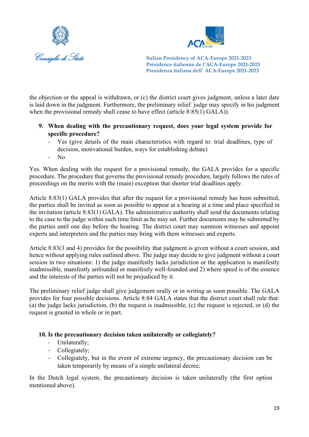



the objection or the appeal is withdrawn, or (c) the district court gives judgment, unless a later date is laid down in the judgment. Furthermore, the preliminary relief judge may specify in his judgment when the provisional remedy shall cease to have effect (article 8:85(1) GALA)).

- **9. When dealing with the precautionary request, does your legal system provide for specific procedure?**
	- Yes (give details of the main characteristics with regard to: trial deadlines, type of decision, motivational burden, ways for establishing debate)
	- No

Yes. When dealing with the request for a provisional remedy, the GALA provides for a specific procedure. The procedure that governs the provisional remedy procedure, largely follows the rules of proceedings on the merits with the (main) exception that shorter trial deadlines apply.

Article 8:83(1) GALA provides that after the request for a provisional remedy has been submitted, the parties shall be invited as soon as possible to appear at a hearing at a time and place specified in the invitation (article 8:83(1) GALA). The administrative authority shall send the documents relating to the case to the judge within such time limit as he may set. Further documents may be submitted by the parties until one day before the hearing. The district court may summon witnesses and appoint experts and interpreters and the parties may bring with them witnesses and experts.

Article 8:83(3 and 4) provides for the possibility that judgment is given without a court session, and hence without applying rules outlined above. The judge may decide to give judgment without a court session in two situations: 1) the judge manifestly lacks jurisdiction or the application is manifestly inadmissible, manifestly unfounded or manifestly well-founded and 2) where speed is of the essence and the interests of the parties will not be prejudiced by it.

The preliminary relief judge shall give judgement orally or in writing as soon possible. The GALA provides for four possible decisions. Article 8:84 GALA states that the district court shall rule that: (a) the judge lacks jurisdiction, (b) the request is inadmissible, (c) the request is rejected, or (d) the request is granted in whole or in part.

## **10. Is the precautionary decision taken unilaterally or collegiately?**

- Unilaterally;
- Collegiately;
- Collegiately, but in the event of extreme urgency, the precautionary decision can be taken temporarily by means of a simple unilateral decree;

In the Dutch legal system, the precautionary decision is taken unilaterally (the first option mentioned above).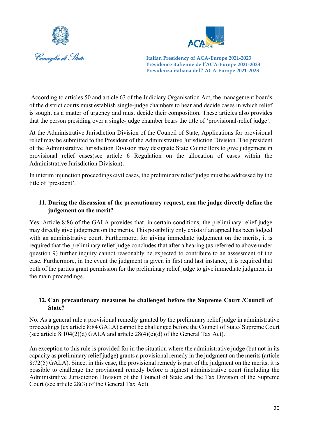



According to articles 50 and article 63 of the Judiciary Organisation Act, the management boards of the district courts must establish single-judge chambers to hear and decide cases in which relief is sought as a matter of urgency and must decide their composition. These articles also provides that the person presiding over a single-judge chamber bears the title of 'provisional-relief judge'.

At the Administrative Jurisdiction Division of the Council of State, Applications for provisional relief may be submitted to the President of the Administrative Jurisdiction Division. The president of the Administrative Jurisdiction Division may designate State Councillors to give judgement in provisional relief cases(see article 6 Regulation on the allocation of cases within the Administrative Jurisdiction Division).

In interim injunction proceedings civil cases, the preliminary relief judge must be addressed by the title of 'president'.

## **11. During the discussion of the precautionary request, can the judge directly define the judgement on the merit?**

Yes. Article 8:86 of the GALA provides that, in certain conditions, the preliminary relief judge may directly give judgement on the merits. This possibility only exists if an appeal has been lodged with an administrative court. Furthermore, for giving immediate judgement on the merits, it is required that the preliminary relief judge concludes that after a hearing (as referred to above under question 9) further inquiry cannot reasonably be expected to contribute to an assessment of the case. Furthermore, in the event the judgment is given in first and last instance, it is required that both of the parties grant permission for the preliminary relief judge to give immediate judgment in the main proceedings.

#### **12. Can precautionary measures be challenged before the Supreme Court /Council of State?**

No. As a general rule a provisional remediy granted by the preliminary relief judge in administrative proceedings (ex article 8:84 GALA) cannot be challenged before the Council of State/ Supreme Court (see article  $8:104(2)(d)$  GALA and article  $28(4)(c)(d)$  of the General Tax Act).

An exception to this rule is provided for in the situation where the administrative judge (but not in its capacity as preliminary relief judge) grants a provisional remedy in the judgment on the merits (article 8:72(5) GALA). Since, in this case, the provisional remedy is part of the judgment on the merits, it is possible to challenge the provisional remedy before a highest administrative court (including the Administrative Jurisdiction Division of the Council of State and the Tax Division of the Supreme Court (see article 28(3) of the General Tax Act).